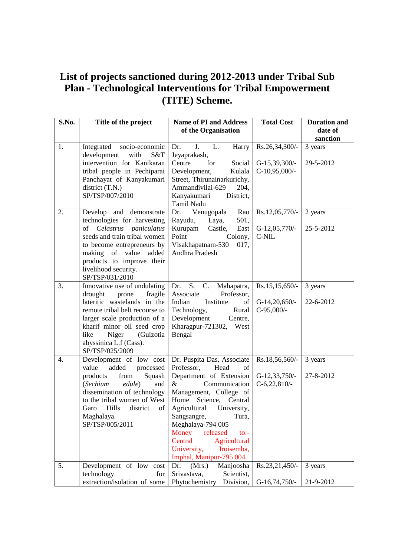## **List of projects sanctioned during 2012-2013 under Tribal Sub Plan - Technological Interventions for Tribal Empowerment (TITE) Scheme.**

| S.No. | Title of the project                                                                                                                                                                                                                                                  | <b>Name of PI and Address</b>                                                                                                                                                                                                                                                                                                                                           | <b>Total Cost</b>                                      | <b>Duration and</b>  |
|-------|-----------------------------------------------------------------------------------------------------------------------------------------------------------------------------------------------------------------------------------------------------------------------|-------------------------------------------------------------------------------------------------------------------------------------------------------------------------------------------------------------------------------------------------------------------------------------------------------------------------------------------------------------------------|--------------------------------------------------------|----------------------|
|       |                                                                                                                                                                                                                                                                       | of the Organisation                                                                                                                                                                                                                                                                                                                                                     |                                                        | date of              |
|       |                                                                                                                                                                                                                                                                       |                                                                                                                                                                                                                                                                                                                                                                         |                                                        | sanction             |
| 1.    | Integrated<br>socio-economic<br>development<br>with<br>S&T<br>intervention for Kanikaran<br>tribal people in Pechiparai<br>Panchayat of Kanyakumari<br>district $(T.N.)$<br>SP/TSP/007/2010                                                                           | J.<br>L.<br>Harry<br>Dr.<br>Jeyaprakash,<br>Centre<br>for<br>Social<br>Development,<br>Kulala<br>Street, Thirunainarkurichy,<br>Ammandivilai-629<br>204,<br>Kanyakumari<br>District,<br>Tamil Nadu                                                                                                                                                                      | Rs.26,34,300/-<br>$G-15,39,300/$ -<br>$C-10,95,000/$ - | 3 years<br>29-5-2012 |
| 2.    | Develop<br>and<br>demonstrate<br>technologies for harvesting<br>Celastrus paniculatus<br>of<br>seeds and train tribal women<br>to become entrepreneurs by<br>making of value<br>added<br>products to improve their<br>livelihood security.<br>SP/TSP/031/2010         | Venugopala<br>Rao<br>Dr.<br>Rayudu,<br>501,<br>Laya,<br>Kurupam<br>Castle,<br>East<br>Point<br>Colony,<br>Visakhapatnam-530<br>017,<br>Andhra Pradesh                                                                                                                                                                                                                   | Rs.12,05,770/-<br>$G-12,05,770/-$<br>C-NIL             | 2 years<br>25-5-2012 |
| 3.    | Innovative use of undulating<br>drought<br>fragile<br>prone<br>lateritic wastelands in the<br>remote tribal belt recourse to<br>larger scale production of a<br>kharif minor oil seed crop<br>(Guizotia<br>like<br>Niger<br>abyssinica L.f (Cass).<br>SP/TSP/025/2009 | S.<br>C.<br>Dr.<br>Mahapatra,<br>Professor,<br>Associate<br>Indian<br>of<br>Institute<br>Technology,<br>Rural<br>Development<br>Centre,<br>Kharagpur-721302,<br>West<br>Bengal                                                                                                                                                                                          | Rs.15,15,650/-<br>$G-14,20,650/$<br>$C-95,000/-$       | 3 years<br>22-6-2012 |
| 4.    | Development of low cost<br>value<br>added<br>processed<br>Squash<br>products<br>from<br>(Sechium<br>edule)<br>and<br>dissemination of technology<br>to the tribal women of West<br>Hills<br>of<br>Garo<br>district<br>Maghalaya.<br>SP/TSP/005/2011                   | Dr. Puspita Das, Associate<br>Professor,<br>Head<br>of<br>Department of Extension<br>&<br>Communication<br>Management, College of<br>Home<br>Science,<br>Central<br>Agricultural<br>University,<br>Sangsangre,<br>Tura,<br>Meghalaya-794 005<br>Money<br>released<br>$\mathsf{to}$ :<br>Central<br>Agricultural<br>Iroisemba,<br>University,<br>Imphal, Manipur-795 004 | Rs.18,56,560/-<br>$G-12,33,750/$<br>$C-6,22,810/-$     | 3 years<br>27-8-2012 |
| 5.    | Development of low cost<br>technology<br>for<br>extraction/isolation of some                                                                                                                                                                                          | Manjoosha<br>Dr.<br>(Mrs.)<br>Srivastava,<br>Scientist,<br>Phytochemistry<br>Division,                                                                                                                                                                                                                                                                                  | Rs.23,21,450/-<br>$G-16,74,750/-$                      | 3 years<br>21-9-2012 |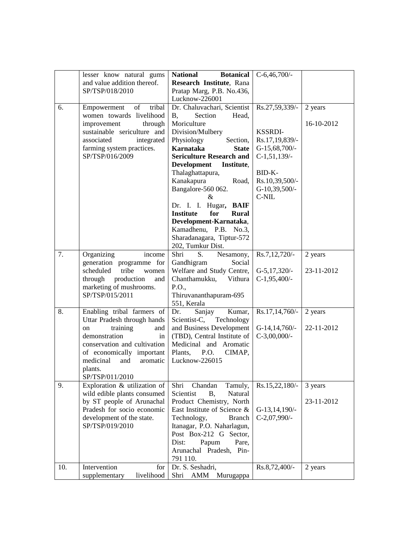|     | lesser know natural gums                         | <b>Botanical</b><br><b>National</b>                   | $C-6,46,700/-$                      |            |
|-----|--------------------------------------------------|-------------------------------------------------------|-------------------------------------|------------|
|     | and value addition thereof.                      | Research Institute, Rana                              |                                     |            |
|     | SP/TSP/018/2010                                  | Pratap Marg, P.B. No.436,                             |                                     |            |
|     |                                                  | Lucknow-226001                                        |                                     |            |
| 6.  | of<br>tribal<br>Empowerment                      | Dr. Chaluvachari, Scientist                           | Rs.27,59,339/-                      | 2 years    |
|     | women towards livelihood                         | Head,<br><b>B</b> ,<br>Section                        |                                     |            |
|     | improvement<br>through                           | Moriculture                                           |                                     | 16-10-2012 |
|     | sustainable sericulture and                      | Division/Mulbery                                      | <b>KSSRDI-</b>                      |            |
|     | integrated<br>associated                         | Physiology<br>Section,                                | Rs.17,19,839/-                      |            |
|     | farming system practices.                        | <b>Karnataka</b><br><b>State</b>                      | $G-15,68,700/-$                     |            |
|     | SP/TSP/016/2009                                  | <b>Sericulture Research and</b>                       | $C-1,51,139/$ -                     |            |
|     |                                                  | <b>Development</b><br>Institute,                      |                                     |            |
|     |                                                  | Thalaghattapura,                                      | BID-K-                              |            |
|     |                                                  | Kanakapura<br>Road,                                   | Rs.10,39,500/-                      |            |
|     |                                                  | Bangalore-560 062.                                    | G-10,39,500/-                       |            |
|     |                                                  | &                                                     | C-NIL                               |            |
|     |                                                  | Dr. I. I. Hugar, BAIF                                 |                                     |            |
|     |                                                  | <b>Institute</b><br>for<br><b>Rural</b>               |                                     |            |
|     |                                                  | Development-Karnataka,                                |                                     |            |
|     |                                                  | Kamadhenu, P.B. No.3,                                 |                                     |            |
|     |                                                  | Sharadanagara, Tiptur-572                             |                                     |            |
|     |                                                  | 202, Tumkur Dist.                                     |                                     |            |
| 7.  | Organizing<br>income                             | Shri<br>S.<br>Nesamony,                               | Rs.7,12,720/-                       | 2 years    |
|     | generation programme for<br>scheduled<br>tribe   | Gandhigram<br>Social                                  |                                     | 23-11-2012 |
|     | women<br>and                                     | Welfare and Study Centre,<br>Chanthamukku,<br>Vithura | G-5,17,320/-                        |            |
|     | production<br>through<br>marketing of mushrooms. | P.O.,                                                 | $C-1,95,400/-$                      |            |
|     | SP/TSP/015/2011                                  | Thiruvananthapuram-695                                |                                     |            |
|     |                                                  | 551, Kerala                                           |                                     |            |
| 8.  | Enabling tribal farmers of                       | Kumar,<br>Dr.<br>Sanjay                               | $\overline{\text{Rs}}$ .17,14,760/- | 2 years    |
|     | Uttar Pradesh through hands                      | Scientist-C,<br>Technology                            |                                     |            |
|     | training<br>and<br>on                            | and Business Development                              | $G-14, 14, 760/$                    | 22-11-2012 |
|     | demonstration<br>in                              | (TBD), Central Institute of                           | $C-3,00,000/$ -                     |            |
|     | conservation and cultivation                     | Medicinal and Aromatic                                |                                     |            |
|     | of economically important                        | Plants,<br>P.O.<br>CIMAP,                             |                                     |            |
|     | medicinal<br>and<br>aromatic                     | Lucknow-226015                                        |                                     |            |
|     | plants.                                          |                                                       |                                     |            |
|     | SP/TSP/011/2010                                  |                                                       |                                     |            |
| 9.  | Exploration & utilization of                     | Shri<br>Chandan<br>Tamuly,                            | Rs.15,22,180/-                      | 3 years    |
|     | wild edible plants consumed                      | Scientist<br><b>B</b> ,<br>Natural                    |                                     |            |
|     | by ST people of Arunachal                        | Product Chemistry, North                              |                                     | 23-11-2012 |
|     | Pradesh for socio economic                       | East Institute of Science &                           | $G-13, 14, 190/-$                   |            |
|     | development of the state.                        | Technology,<br><b>Branch</b>                          | $C-2,07,990/-$                      |            |
|     | SP/TSP/019/2010                                  | Itanagar, P.O. Naharlagun,                            |                                     |            |
|     |                                                  | Post Box-212 G Sector,                                |                                     |            |
|     |                                                  | Dist:<br>Papum<br>Pare,                               |                                     |            |
|     |                                                  | Arunachal Pradesh, Pin-                               |                                     |            |
|     |                                                  | 791 110.                                              |                                     |            |
| 10. | Intervention<br>for                              | Dr. S. Seshadri,                                      | Rs.8,72,400/-                       | 2 years    |
|     | supplementary<br>livelihood                      | AMM<br>Shri<br>Murugappa                              |                                     |            |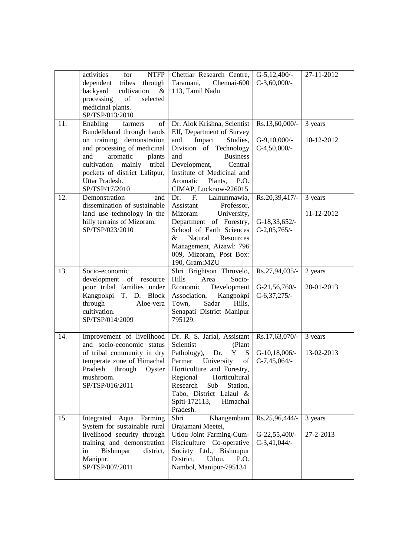|     | <b>NTFP</b><br>activities<br>for                        | Chettiar Research Centre,                     | $G-5, 12, 400/-$ | 27-11-2012 |
|-----|---------------------------------------------------------|-----------------------------------------------|------------------|------------|
|     | tribes<br>dependent<br>through                          | Taramani, Chennai-600                         | $C-3,60,000/$ -  |            |
|     | cultivation<br>backyard<br>$\&$                         | 113, Tamil Nadu                               |                  |            |
|     | processing<br>of<br>selected                            |                                               |                  |            |
|     | medicinal plants.                                       |                                               |                  |            |
|     | SP/TSP/013/2010                                         |                                               |                  |            |
| 11. | Enabling<br>farmers<br>of                               | Dr. Alok Krishna, Scientist                   | Rs.13,60,000/-   | 3 years    |
|     | Bundelkhand through hands                               | EII, Department of Survey                     |                  |            |
|     | on training, demonstration                              | and<br>Impact<br>Studies,                     | $G-9,10,000/-$   | 10-12-2012 |
|     | and processing of medicinal                             | Division of Technology                        | $C-4,50,000/$ -  |            |
|     | and<br>aromatic<br>plants                               | and<br><b>Business</b>                        |                  |            |
|     | cultivation<br>tribal<br>mainly                         | Development,<br>Central                       |                  |            |
|     | pockets of district Lalitpur,                           | Institute of Medicinal and                    |                  |            |
|     | Uttar Pradesh.                                          | Aromatic<br>Plants,<br><b>P.O.</b>            |                  |            |
|     | SP/TSP/17/2010                                          | CIMAP, Lucknow-226015                         |                  |            |
| 12. | Demonstration<br>and                                    | F <sub>r</sub><br>Dr.<br>Lalnunmawia,         | Rs.20,39,417/-   | 3 years    |
|     | dissemination of sustainable                            | Assistant<br>Professor,                       |                  |            |
|     | land use technology in the                              | Mizoram<br>University,                        |                  | 11-12-2012 |
|     | hilly terrains of Mizoram.                              | Department of Forestry,                       | $G-18, 33, 652/$ |            |
|     | SP/TSP/023/2010                                         | School of Earth Sciences                      | $C-2,05,765/-$   |            |
|     |                                                         | &<br>Natural<br>Resources                     |                  |            |
|     |                                                         | Management, Aizawl: 796                       |                  |            |
|     |                                                         | 009, Mizoram, Post Box:                       |                  |            |
|     |                                                         | 190, Gram:MZU                                 |                  |            |
| 13. | Socio-economic                                          | Shri Brightson Thruvelo,                      | Rs.27,94,035/-   | 2 years    |
|     | development of<br>resource                              | Hills<br>Area<br>Socio-                       |                  |            |
|     | poor tribal families under                              | Development<br>Economic                       | $G-21,56,760/$ - | 28-01-2013 |
|     | Kangpokpi T. D. Block                                   | Kangpokpi<br>Association,                     | $C-6,37,275/-$   |            |
|     | through<br>Aloe-vera                                    | Town,<br>Sadar<br>Hills,                      |                  |            |
|     | cultivation.                                            | Senapati District Manipur                     |                  |            |
|     | SP/TSP/014/2009                                         | 795129.                                       |                  |            |
|     |                                                         |                                               |                  |            |
| 14. | Improvement of livelihood                               | Dr. R. S. Jarial, Assistant                   | Rs.17,63,070/-   | 3 years    |
|     | and socio-economic status                               | Scientist<br>(Plant                           |                  |            |
|     | of tribal community in dry                              | Y<br>Pathology),<br>Dr.<br>S                  | $G-10,18,006/$ - | 13-02-2013 |
|     | temperate zone of Himachal                              | University<br>$of \mid$<br>Parmar             | $C-7,45,064/-$   |            |
|     | Pradesh<br>through<br>Oyster                            | Horticulture and Forestry,                    |                  |            |
|     | mushroom.                                               | Regional<br>Horticultural                     |                  |            |
|     | SP/TSP/016/2011                                         | Research<br>Station,<br>Sub                   |                  |            |
|     |                                                         | Tabo, District Lalaul &                       |                  |            |
|     |                                                         | Spiti-172113,<br>Himachal                     |                  |            |
|     |                                                         | Pradesh.                                      |                  |            |
| 15  | Integrated Aqua Farming<br>System for sustainable rural | Shri<br>Khangembam                            | Rs.25,96,444/-   | 3 years    |
|     | livelihood security through                             | Brajamani Meetei,<br>Utlou Joint Farming-Cum- | $G-22,55,400/$ - | 27-2-2013  |
|     | training and demonstration                              | Pisciculture Co-operative                     | $C-3,41,044/-$   |            |
|     | Bishnupar<br>in<br>district,                            | Society Ltd., Bishnupur                       |                  |            |
|     | Manipur.                                                | District,<br>Utlou,<br>P.O.                   |                  |            |
|     | SP/TSP/007/2011                                         | Nambol, Manipur-795134                        |                  |            |
|     |                                                         |                                               |                  |            |